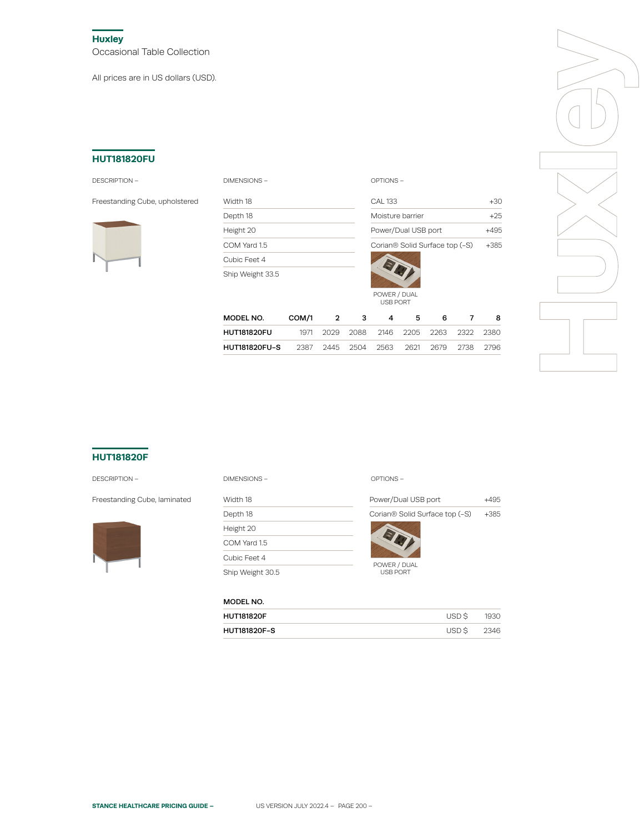**Huxley** Occasional Table Collection

All prices are in US dollars (USD).

## **HUT181820FU**

#### DESCRIPTION – DIMENSIONS – OPTIONS –

Freestanding Cube, upholstered Width 18



| <b>DIMENSIONS</b> |
|-------------------|
|-------------------|

Depth 18 Height 20 COM Yard 1.5 Cubic Feet 4 Ship Weight 33.5

| CAI 133                        | $+3()$ |
|--------------------------------|--------|
| Moisture barrier               | +25    |
| Power/Dual USB port            |        |
| Corian® Solid Surface top (-S) | $+385$ |
|                                |        |

|                                                        |           |                                         | <b>USB PORT</b> |   |    |   |
|--------------------------------------------------------|-----------|-----------------------------------------|-----------------|---|----|---|
| MODEL NO.                                              | COM/1 2 3 |                                         | $\overline{4}$  | 5 | 6. | 8 |
| <b>HUT181820FU</b>                                     |           | 1971 2029 2088 2146 2205 2263 2322 2380 |                 |   |    |   |
| HUT181820FU-S  2387 2445 2504 2563 2621 2679 2738 2796 |           |                                         |                 |   |    |   |

POWER / DUAL



# **HUT181820F**

#### DESCRIPTION –



| <b>DESCRIPTION -</b>         | OPTIONS-<br>DIMENSIONS- |                                            |        |
|------------------------------|-------------------------|--------------------------------------------|--------|
| Freestanding Cube, laminated | Width 18                | Power/Dual USB port                        | $+495$ |
|                              | Depth 18                | Corian <sup>®</sup> Solid Surface top (-S) | $+385$ |
|                              | Height 20               |                                            |        |
|                              | COM Yard 1.5            |                                            |        |
|                              | Cubic Feet 4            |                                            |        |
|                              | Ship Weight 30.5        | POWER / DUAL<br><b>USB PORT</b>            |        |

## MODEL NO.

| <b>HUT181820F</b>   | USD \$ | 1930 |
|---------------------|--------|------|
| <b>HUT181820F-S</b> | USD S  | 2346 |